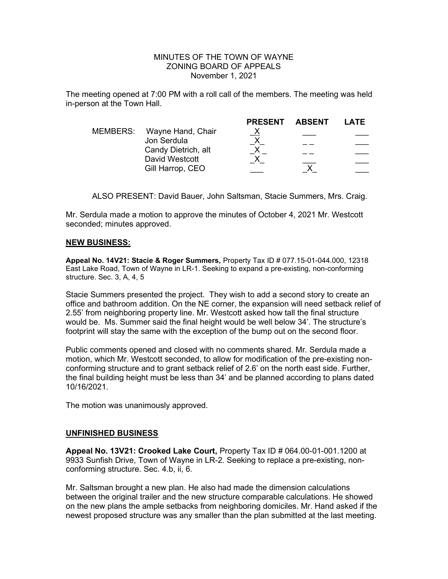## MINUTES OF THE TOWN OF WAYNE ZONING BOARD OF APPEALS November 1, 2021

The meeting opened at 7:00 PM with a roll call of the members. The meeting was held in-person at the Town Hall.

|                            | <b>PRESENT</b>                                                           | LATE          |
|----------------------------|--------------------------------------------------------------------------|---------------|
| MEMBERS: Wayne Hand, Chair | $\underline{X}$                                                          |               |
|                            |                                                                          |               |
|                            |                                                                          |               |
|                            |                                                                          |               |
|                            |                                                                          |               |
|                            | Jon Serdula<br>Candy Dietrich, alt<br>David Westcott<br>Gill Harrop, CEO | <b>ABSENT</b> |

ALSO PRESENT: David Bauer, John Saltsman, Stacie Summers, Mrs. Craig.

Mr. Serdula made a motion to approve the minutes of October 4, 2021 Mr. Westcott seconded; minutes approved.

## NEW BUSINESS:

Appeal No. 14V21: Stacie & Roger Summers, Property Tax ID # 077.15-01-044.000, 12318 East Lake Road, Town of Wayne in LR-1. Seeking to expand a pre-existing, non-conforming structure. Sec. 3, A, 4, 5

Stacie Summers presented the project. They wish to add a second story to create an office and bathroom addition. On the NE corner, the expansion will need setback relief of 2.55' from neighboring property line. Mr. Westcott asked how tall the final structure would be. Ms. Summer said the final height would be well below 34'. The structure's footprint will stay the same with the exception of the bump out on the second floor.

Public comments opened and closed with no comments shared. Mr. Serdula made a motion, which Mr. Westcott seconded, to allow for modification of the pre-existing nonconforming structure and to grant setback relief of 2.6' on the north east side. Further, the final building height must be less than 34' and be planned according to plans dated 10/16/2021.

The motion was unanimously approved.

## UNFINISHED BUSINESS

Appeal No. 13V21: Crooked Lake Court, Property Tax ID # 064.00-01-001.1200 at 9933 Sunfish Drive, Town of Wayne in LR-2. Seeking to replace a pre-existing, nonconforming structure. Sec. 4.b, ii, 6.

Mr. Saltsman brought a new plan. He also had made the dimension calculations between the original trailer and the new structure comparable calculations. He showed on the new plans the ample setbacks from neighboring domiciles. Mr. Hand asked if the newest proposed structure was any smaller than the plan submitted at the last meeting.